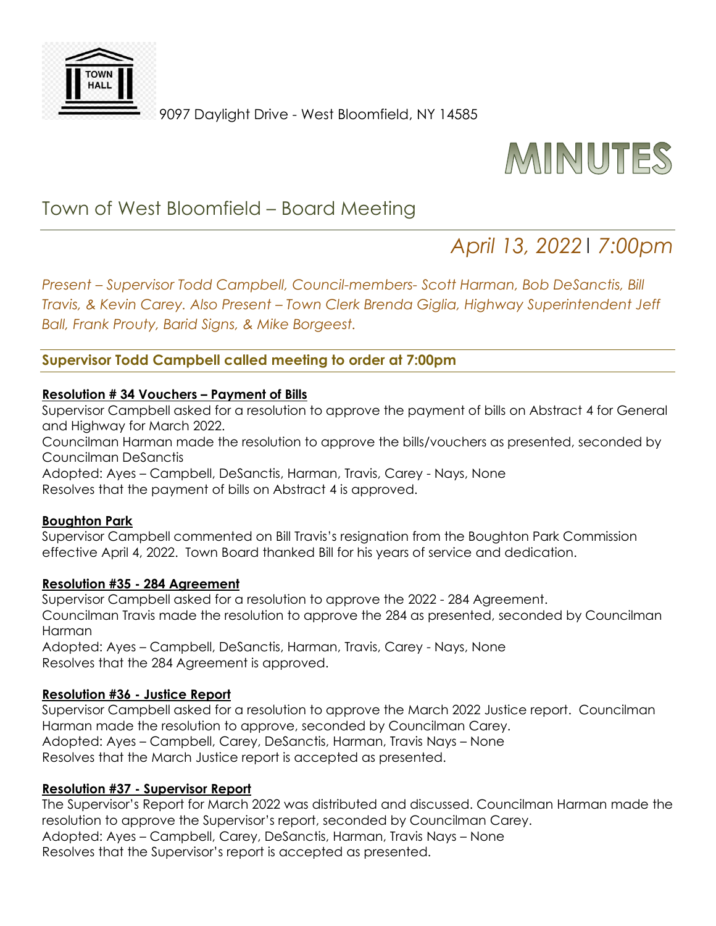

9097 Daylight Drive - West Bloomfield, NY 14585



# Town of West Bloomfield – Board Meeting

# *April 13, 2022*| *7:00pm*

*Present – Supervisor Todd Campbell, Council-members- Scott Harman, Bob DeSanctis, Bill Travis, & Kevin Carey. Also Present – Town Clerk Brenda Giglia, Highway Superintendent Jeff Ball, Frank Prouty, Barid Signs, & Mike Borgeest.* 

**Supervisor Todd Campbell called meeting to order at 7:00pm**

## **Resolution # 34 Vouchers – Payment of Bills**

Supervisor Campbell asked for a resolution to approve the payment of bills on Abstract 4 for General and Highway for March 2022.

Councilman Harman made the resolution to approve the bills/vouchers as presented, seconded by Councilman DeSanctis

Adopted: Ayes – Campbell, DeSanctis, Harman, Travis, Carey - Nays, None Resolves that the payment of bills on Abstract 4 is approved.

#### **Boughton Park**

Supervisor Campbell commented on Bill Travis's resignation from the Boughton Park Commission effective April 4, 2022. Town Board thanked Bill for his years of service and dedication.

# **Resolution #35 - 284 Agreement**

Supervisor Campbell asked for a resolution to approve the 2022 - 284 Agreement. Councilman Travis made the resolution to approve the 284 as presented, seconded by Councilman Harman

Adopted: Ayes – Campbell, DeSanctis, Harman, Travis, Carey - Nays, None Resolves that the 284 Agreement is approved.

# **Resolution #36 - Justice Report**

Supervisor Campbell asked for a resolution to approve the March 2022 Justice report. Councilman Harman made the resolution to approve, seconded by Councilman Carey. Adopted: Ayes – Campbell, Carey, DeSanctis, Harman, Travis Nays – None Resolves that the March Justice report is accepted as presented.

#### **Resolution #37 - Supervisor Report**

The Supervisor's Report for March 2022 was distributed and discussed. Councilman Harman made the resolution to approve the Supervisor's report, seconded by Councilman Carey. Adopted: Ayes – Campbell, Carey, DeSanctis, Harman, Travis Nays – None Resolves that the Supervisor's report is accepted as presented.